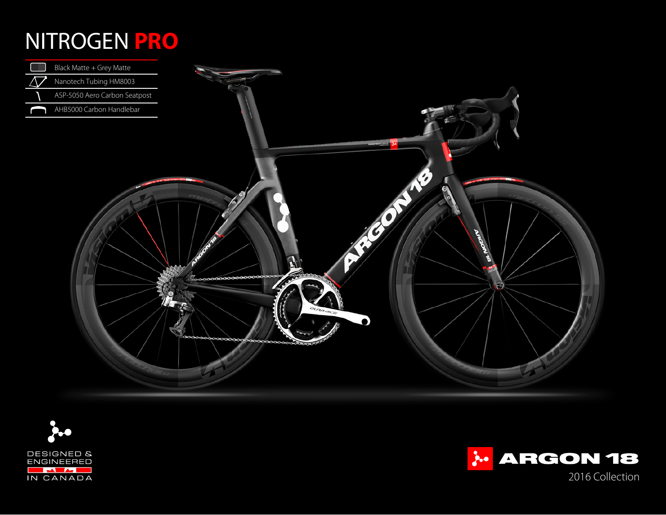